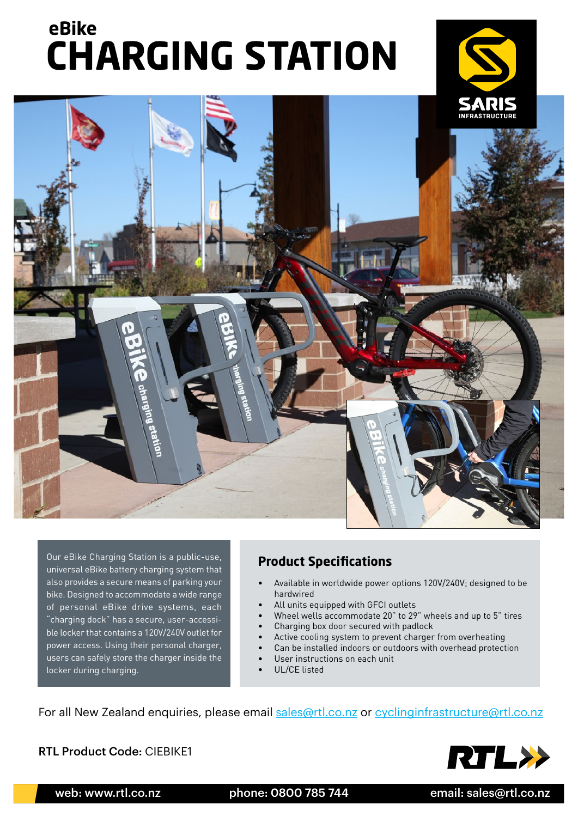## **CHARGING STATION eBike**





Our eBike Charging Station is a public-use, universal eBike battery charging system that also provides a secure means of parking your bike. Designed to accommodate a wide range of personal eBike drive systems, each "charging dock" has a secure, user-accessible locker that contains a 120V/240V outlet for power access. Using their personal charger, users can safely store the charger inside the locker during charging.

## **Product Specifications**

- Available in worldwide power options 120V/240V; designed to be hardwired
- All units equipped with GFCI outlets
- Wheel wells accommodate 20" to 29" wheels and up to 5" tires
- Charging box door secured with padlock
	- Active cooling system to prevent charger from overheating
- Can be installed indoors or outdoors with overhead protection
- User instructions on each unit
- UL/CE listed

For all New Zealand enquiries, please email [sales@rtl.co.nz](mailto:sales%40rtl.co.nz?subject=) or [cyclinginfrastructure@rtl.co.nz](mailto:cyclinginfrastructure%40rtl.co.nz?subject=)

RTL Product Code: CIEBIKE1



web: www.rtl.co.nz bhone: 0800 785 744 email: sales@rtl.co.nz